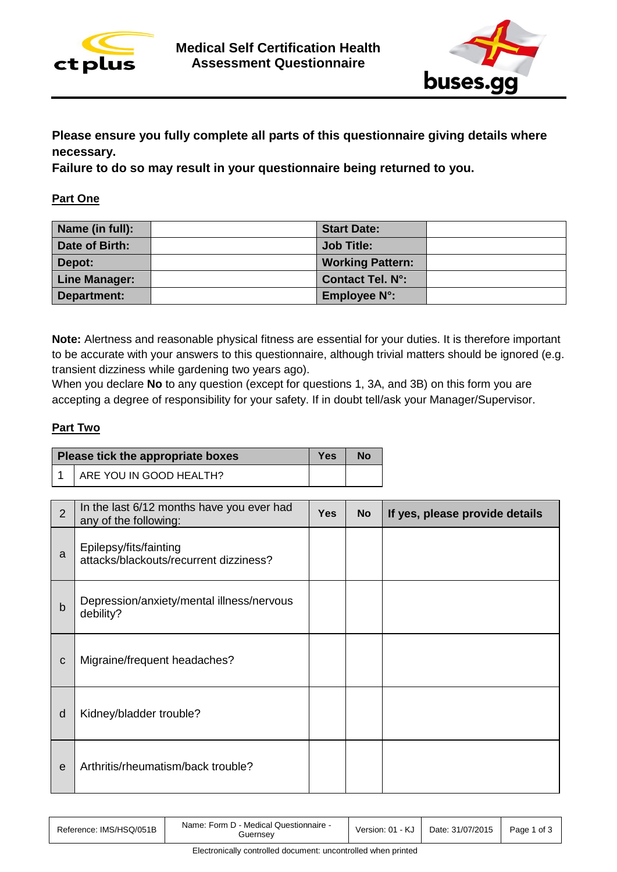



**Please ensure you fully complete all parts of this questionnaire giving details where necessary.** 

**Failure to do so may result in your questionnaire being returned to you.**

### **Part One**

| Name (in full):      | <b>Start Date:</b>      |  |
|----------------------|-------------------------|--|
| Date of Birth:       | Job Title:              |  |
| Depot:               | <b>Working Pattern:</b> |  |
| <b>Line Manager:</b> | <b>Contact Tel. N°:</b> |  |
| Department:          | Employee N°:            |  |

**Note:** Alertness and reasonable physical fitness are essential for your duties. It is therefore important to be accurate with your answers to this questionnaire, although trivial matters should be ignored (e.g. transient dizziness while gardening two years ago).

When you declare **No** to any question (except for questions 1, 3A, and 3B) on this form you are accepting a degree of responsibility for your safety. If in doubt tell/ask your Manager/Supervisor.

#### **Part Two**

| Please tick the appropriate boxes |                         | Yes | No |
|-----------------------------------|-------------------------|-----|----|
|                                   | ARE YOU IN GOOD HEALTH? |     |    |

| $\overline{2}$ | In the last 6/12 months have you ever had<br>any of the following: | <b>Yes</b> | <b>No</b> | If yes, please provide details |
|----------------|--------------------------------------------------------------------|------------|-----------|--------------------------------|
| a              | Epilepsy/fits/fainting<br>attacks/blackouts/recurrent dizziness?   |            |           |                                |
| b              | Depression/anxiety/mental illness/nervous<br>debility?             |            |           |                                |
| C              | Migraine/frequent headaches?                                       |            |           |                                |
| d              | Kidney/bladder trouble?                                            |            |           |                                |
| e              | Arthritis/rheumatism/back trouble?                                 |            |           |                                |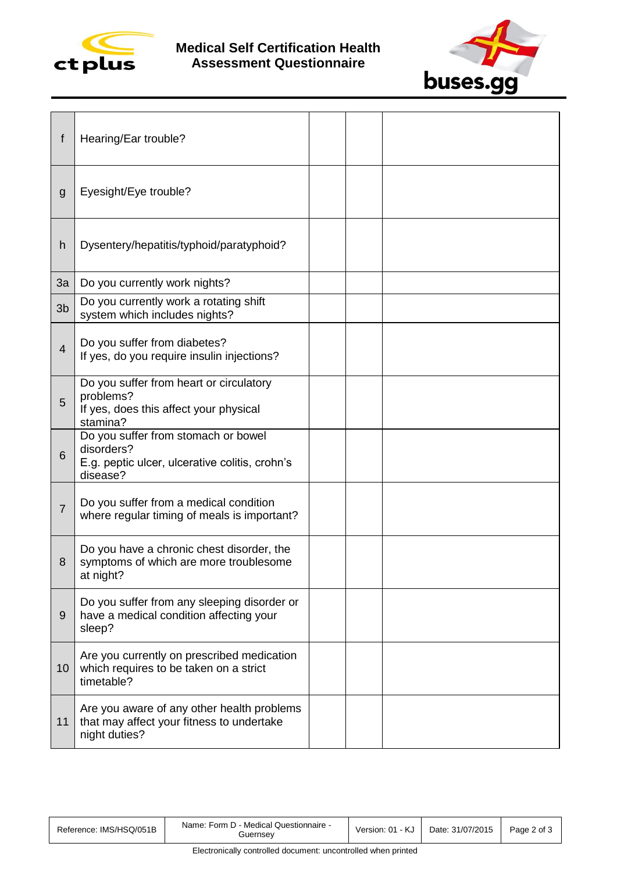



| f              | Hearing/Ear trouble?                                                                                            |  |  |
|----------------|-----------------------------------------------------------------------------------------------------------------|--|--|
| g              | Eyesight/Eye trouble?                                                                                           |  |  |
| h              | Dysentery/hepatitis/typhoid/paratyphoid?                                                                        |  |  |
| 3a             | Do you currently work nights?                                                                                   |  |  |
| 3 <sub>b</sub> | Do you currently work a rotating shift<br>system which includes nights?                                         |  |  |
| $\overline{4}$ | Do you suffer from diabetes?<br>If yes, do you require insulin injections?                                      |  |  |
| 5              | Do you suffer from heart or circulatory<br>problems?<br>If yes, does this affect your physical<br>stamina?      |  |  |
| 6              | Do you suffer from stomach or bowel<br>disorders?<br>E.g. peptic ulcer, ulcerative colitis, crohn's<br>disease? |  |  |
| $\overline{7}$ | Do you suffer from a medical condition<br>where regular timing of meals is important?                           |  |  |
| 8              | Do you have a chronic chest disorder, the<br>symptoms of which are more troublesome<br>at night?                |  |  |
| 9              | Do you suffer from any sleeping disorder or<br>have a medical condition affecting your<br>sleep?                |  |  |
| 10             | Are you currently on prescribed medication<br>which requires to be taken on a strict<br>timetable?              |  |  |
| 11             | Are you aware of any other health problems<br>that may affect your fitness to undertake<br>night duties?        |  |  |